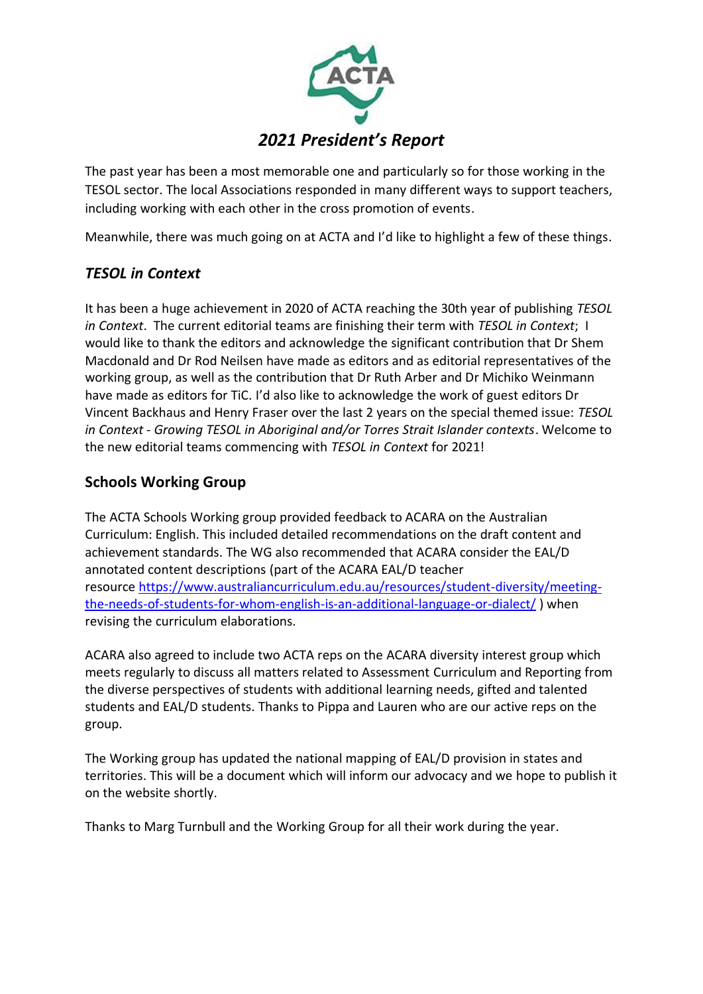

The past year has been a most memorable one and particularly so for those working in the TESOL sector. The local Associations responded in many different ways to support teachers, including working with each other in the cross promotion of events.

Meanwhile, there was much going on at ACTA and I'd like to highlight a few of these things.

## *TESOL in Context*

It has been a huge achievement in 2020 of ACTA reaching the 30th year of publishing *TESOL in Context*. The current editorial teams are finishing their term with *TESOL in Context*; I would like to thank the editors and acknowledge the significant contribution that Dr Shem Macdonald and Dr Rod Neilsen have made as editors and as editorial representatives of the working group, as well as the contribution that Dr Ruth Arber and Dr Michiko Weinmann have made as editors for TiC. I'd also like to acknowledge the work of guest editors Dr Vincent Backhaus and Henry Fraser over the last 2 years on the special themed issue: *TESOL in Context - Growing TESOL in Aboriginal and/or Torres Strait Islander contexts*. Welcome to the new editorial teams commencing with *TESOL in Context* for 2021!

## **Schools Working Group**

The ACTA Schools Working group provided feedback to ACARA on the Australian Curriculum: English. This included detailed recommendations on the draft content and achievement standards. The WG also recommended that ACARA consider the EAL/D annotated content descriptions (part of the ACARA EAL/D teacher resource [https://www.australiancurriculum.edu.au/resources/student-diversity/meeting](https://www.australiancurriculum.edu.au/resources/student-diversity/meeting-the-needs-of-students-for-whom-english-is-an-additional-language-or-dialect/)[the-needs-of-students-for-whom-english-is-an-additional-language-or-dialect/](https://www.australiancurriculum.edu.au/resources/student-diversity/meeting-the-needs-of-students-for-whom-english-is-an-additional-language-or-dialect/) ) when revising the curriculum elaborations.

ACARA also agreed to include two ACTA reps on the ACARA diversity interest group which meets regularly to discuss all matters related to Assessment Curriculum and Reporting from the diverse perspectives of students with additional learning needs, gifted and talented students and EAL/D students. Thanks to Pippa and Lauren who are our active reps on the group.

The Working group has updated the national mapping of EAL/D provision in states and territories. This will be a document which will inform our advocacy and we hope to publish it on the website shortly.

Thanks to Marg Turnbull and the Working Group for all their work during the year.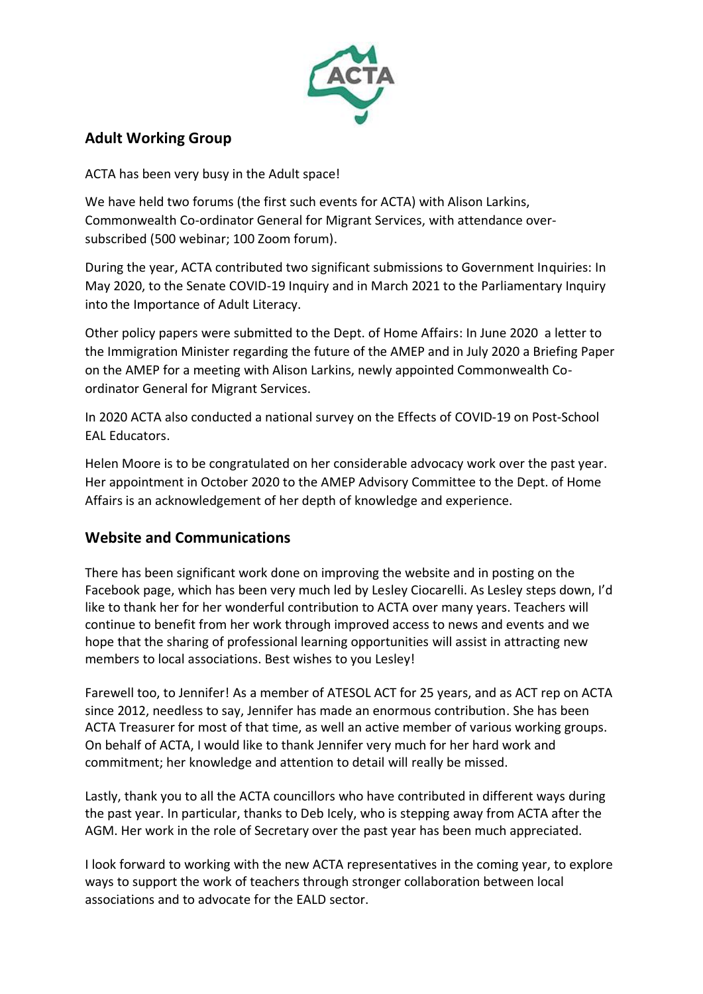

## **Adult Working Group**

ACTA has been very busy in the Adult space!

We have held two forums (the first such events for ACTA) with Alison Larkins, Commonwealth Co-ordinator General for Migrant Services, with attendance oversubscribed (500 webinar; 100 Zoom forum).

During the year, ACTA contributed two significant submissions to Government Inquiries: In May 2020, to the Senate COVID-19 Inquiry and in March 2021 to the Parliamentary Inquiry into the Importance of Adult Literacy.

Other policy papers were submitted to the Dept. of Home Affairs: In June 2020 a letter to the Immigration Minister regarding the future of the AMEP and in July 2020 a Briefing Paper on the AMEP for a meeting with Alison Larkins, newly appointed Commonwealth Coordinator General for Migrant Services.

In 2020 ACTA also conducted a national survey on the Effects of COVID-19 on Post-School EAL Educators.

Helen Moore is to be congratulated on her considerable advocacy work over the past year. Her appointment in October 2020 to the AMEP Advisory Committee to the Dept. of Home Affairs is an acknowledgement of her depth of knowledge and experience.

## **Website and Communications**

There has been significant work done on improving the website and in posting on the Facebook page, which has been very much led by Lesley Ciocarelli. As Lesley steps down, I'd like to thank her for her wonderful contribution to ACTA over many years. Teachers will continue to benefit from her work through improved access to news and events and we hope that the sharing of professional learning opportunities will assist in attracting new members to local associations. Best wishes to you Lesley!

Farewell too, to Jennifer! As a member of ATESOL ACT for 25 years, and as ACT rep on ACTA since 2012, needless to say, Jennifer has made an enormous contribution. She has been ACTA Treasurer for most of that time, as well an active member of various working groups. On behalf of ACTA, I would like to thank Jennifer very much for her hard work and commitment; her knowledge and attention to detail will really be missed.

Lastly, thank you to all the ACTA councillors who have contributed in different ways during the past year. In particular, thanks to Deb Icely, who is stepping away from ACTA after the AGM. Her work in the role of Secretary over the past year has been much appreciated.

I look forward to working with the new ACTA representatives in the coming year, to explore ways to support the work of teachers through stronger collaboration between local associations and to advocate for the EALD sector.